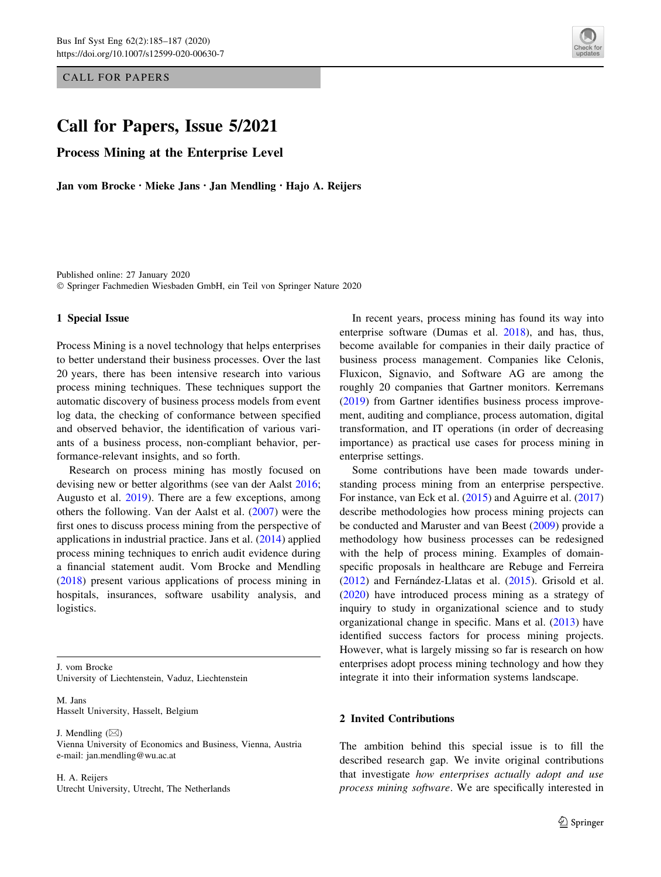CALL FOR PAPERS

# Call for Papers, Issue 5/2021

Process Mining at the Enterprise Level

Jan vom Brocke • Mieke Jans • Jan Mendling • Hajo A. Reijers



Published online: 27 January 2020 - Springer Fachmedien Wiesbaden GmbH, ein Teil von Springer Nature 2020

#### 1 Special Issue

Process Mining is a novel technology that helps enterprises to better understand their business processes. Over the last 20 years, there has been intensive research into various process mining techniques. These techniques support the automatic discovery of business process models from event log data, the checking of conformance between specified and observed behavior, the identification of various variants of a business process, non-compliant behavior, performance-relevant insights, and so forth.

Research on process mining has mostly focused on devising new or better algorithms (see van der Aalst [2016](#page-1-0); Augusto et al. [2019](#page-1-0)). There are a few exceptions, among others the following. Van der Aalst et al. [\(2007](#page-2-0)) were the first ones to discuss process mining from the perspective of applications in industrial practice. Jans et al. ([2014\)](#page-1-0) applied process mining techniques to enrich audit evidence during a financial statement audit. Vom Brocke and Mendling [\(2018](#page-2-0)) present various applications of process mining in hospitals, insurances, software usability analysis, and logistics.

J. vom Brocke University of Liechtenstein, Vaduz, Liechtenstein

M. Jans Hasselt University, Hasselt, Belgium

J. Mendling  $(\boxtimes)$ Vienna University of Economics and Business, Vienna, Austria e-mail: jan.mendling@wu.ac.at

H. A. Reijers Utrecht University, Utrecht, The Netherlands

In recent years, process mining has found its way into enterprise software (Dumas et al. [2018\)](#page-1-0), and has, thus, become available for companies in their daily practice of business process management. Companies like Celonis, Fluxicon, Signavio, and Software AG are among the roughly 20 companies that Gartner monitors. Kerremans [\(2019](#page-1-0)) from Gartner identifies business process improvement, auditing and compliance, process automation, digital transformation, and IT operations (in order of decreasing importance) as practical use cases for process mining in enterprise settings.

Some contributions have been made towards understanding process mining from an enterprise perspective. For instance, van Eck et al. ([2015\)](#page-2-0) and Aguirre et al. ([2017\)](#page-1-0) describe methodologies how process mining projects can be conducted and Maruster and van Beest ([2009\)](#page-1-0) provide a methodology how business processes can be redesigned with the help of process mining. Examples of domainspecific proposals in healthcare are Rebuge and Ferreira [\(2012](#page-1-0)) and Fernández-Llatas et al. ([2015\)](#page-1-0). Grisold et al. [\(2020](#page-1-0)) have introduced process mining as a strategy of inquiry to study in organizational science and to study organizational change in specific. Mans et al. ([2013\)](#page-1-0) have identified success factors for process mining projects. However, what is largely missing so far is research on how enterprises adopt process mining technology and how they integrate it into their information systems landscape.

### 2 Invited Contributions

The ambition behind this special issue is to fill the described research gap. We invite original contributions that investigate how enterprises actually adopt and use process mining software. We are specifically interested in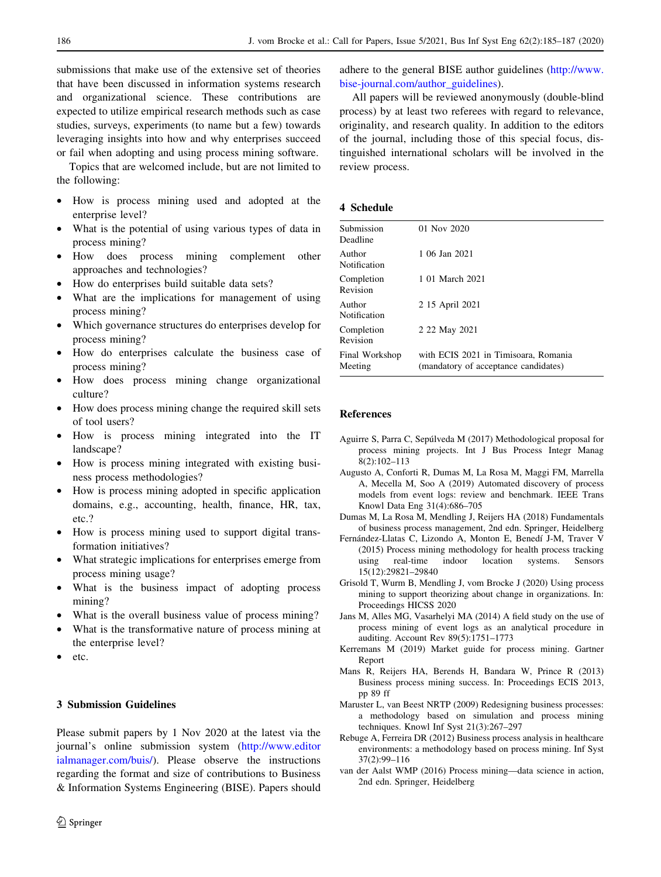<span id="page-1-0"></span>submissions that make use of the extensive set of theories that have been discussed in information systems research and organizational science. These contributions are expected to utilize empirical research methods such as case studies, surveys, experiments (to name but a few) towards leveraging insights into how and why enterprises succeed or fail when adopting and using process mining software.

Topics that are welcomed include, but are not limited to the following:

- How is process mining used and adopted at the enterprise level?
- What is the potential of using various types of data in process mining?
- How does process mining complement other approaches and technologies?
- How do enterprises build suitable data sets?
- What are the implications for management of using process mining?
- Which governance structures do enterprises develop for process mining?
- How do enterprises calculate the business case of process mining?
- How does process mining change organizational culture?
- How does process mining change the required skill sets of tool users?
- How is process mining integrated into the IT landscape?
- How is process mining integrated with existing business process methodologies?
- How is process mining adopted in specific application domains, e.g., accounting, health, finance, HR, tax, etc.?
- How is process mining used to support digital transformation initiatives?
- What strategic implications for enterprises emerge from process mining usage?
- What is the business impact of adopting process mining?
- What is the overall business value of process mining?
- What is the transformative nature of process mining at the enterprise level?
- etc.

# 3 Submission Guidelines

Please submit papers by 1 Nov 2020 at the latest via the journal's online submission system ([http://www.editor](http://www.editorialmanager.com/buis/) [ialmanager.com/buis/\)](http://www.editorialmanager.com/buis/). Please observe the instructions regarding the format and size of contributions to Business & Information Systems Engineering (BISE). Papers should

adhere to the general BISE author guidelines [\(http://www.](http://www.bise-journal.com/author_guidelines) [bise-journal.com/author\\_guidelines](http://www.bise-journal.com/author_guidelines)).

All papers will be reviewed anonymously (double-blind process) by at least two referees with regard to relevance, originality, and research quality. In addition to the editors of the journal, including those of this special focus, distinguished international scholars will be involved in the review process.

## 4 Schedule

| Submission<br>Deadline    | 01 Nov 2020                                                                  |
|---------------------------|------------------------------------------------------------------------------|
| Author<br>Notification    | 1 06 Jan 2021                                                                |
| Completion<br>Revision    | 1 01 March 2021                                                              |
| Author<br>Notification    | 2 15 April 2021                                                              |
| Completion<br>Revision    | 2 22 May 2021                                                                |
| Final Workshop<br>Meeting | with ECIS 2021 in Timisoara, Romania<br>(mandatory of acceptance candidates) |
|                           |                                                                              |

## References

- Aguirre S, Parra C, Sepúlveda M (2017) Methodological proposal for process mining projects. Int J Bus Process Integr Manag 8(2):102–113
- Augusto A, Conforti R, Dumas M, La Rosa M, Maggi FM, Marrella A, Mecella M, Soo A (2019) Automated discovery of process models from event logs: review and benchmark. IEEE Trans Knowl Data Eng 31(4):686–705
- Dumas M, La Rosa M, Mendling J, Reijers HA (2018) Fundamentals of business process management, 2nd edn. Springer, Heidelberg
- Fernández-Llatas C, Lizondo A, Monton E, Benedí J-M, Traver V (2015) Process mining methodology for health process tracking using real-time indoor location systems. Sensors 15(12):29821–29840
- Grisold T, Wurm B, Mendling J, vom Brocke J (2020) Using process mining to support theorizing about change in organizations. In: Proceedings HICSS 2020
- Jans M, Alles MG, Vasarhelyi MA (2014) A field study on the use of process mining of event logs as an analytical procedure in auditing. Account Rev 89(5):1751–1773
- Kerremans M (2019) Market guide for process mining. Gartner Report
- Mans R, Reijers HA, Berends H, Bandara W, Prince R (2013) Business process mining success. In: Proceedings ECIS 2013, pp 89 ff
- Maruster L, van Beest NRTP (2009) Redesigning business processes: a methodology based on simulation and process mining techniques. Knowl Inf Syst 21(3):267–297
- Rebuge A, Ferreira DR (2012) Business process analysis in healthcare environments: a methodology based on process mining. Inf Syst 37(2):99–116
- van der Aalst WMP (2016) Process mining—data science in action, 2nd edn. Springer, Heidelberg